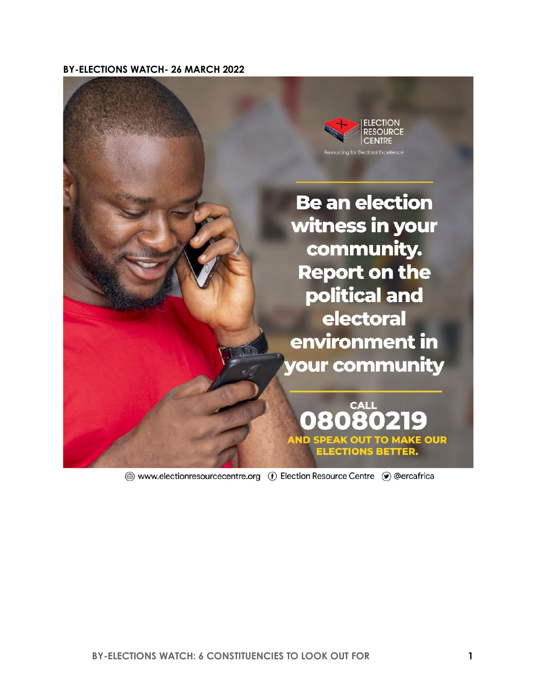**BY-ELECTIONS WATCH- 26 MARCH 2022**



A www.electionresourcecentre.org (f) Election Resource Centre (•) @ercafrica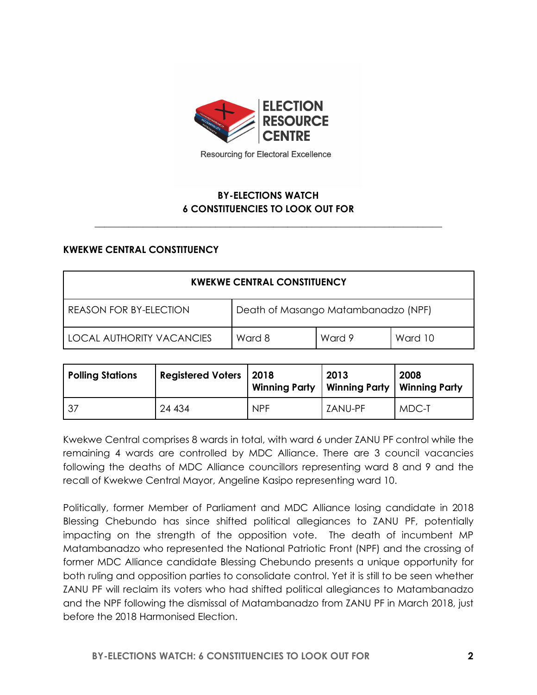

Resourcing for Electoral Excellence

# **BY-ELECTIONS WATCH 6 CONSTITUENCIES TO LOOK OUT FOR**

**\_\_\_\_\_\_\_\_\_\_\_\_\_\_\_\_\_\_\_\_\_\_\_\_\_\_\_\_\_\_\_\_\_\_\_\_\_\_\_\_\_\_\_\_\_\_\_\_\_\_\_\_\_\_\_\_\_\_\_\_\_\_\_\_\_\_\_\_\_\_\_\_**

#### **KWEKWE CENTRAL CONSTITUENCY**

| <b>KWEKWE CENTRAL CONSTITUENCY</b>                                   |        |        |         |
|----------------------------------------------------------------------|--------|--------|---------|
| Death of Masango Matambanadzo (NPF)<br><b>REASON FOR BY-ELECTION</b> |        |        |         |
| LOCAL AUTHORITY VACANCIES                                            | Ward 8 | Ward 9 | Ward 10 |

| <b>Polling Stations</b> | <b>Registered Voters   2018</b> |            | 2013<br>Winning Party   Winning Party   Winning Party | 2008  |
|-------------------------|---------------------------------|------------|-------------------------------------------------------|-------|
| - 37                    | 24 434                          | <b>NPF</b> | ZANU-PF                                               | MDC-T |

Kwekwe Central comprises 8 wards in total, with ward 6 under ZANU PF control while the remaining 4 wards are controlled by MDC Alliance. There are 3 council vacancies following the deaths of MDC Alliance councillors representing ward 8 and 9 and the recall of Kwekwe Central Mayor, Angeline Kasipo representing ward 10.

Politically, former Member of Parliament and MDC Alliance losing candidate in 2018 Blessing Chebundo has since shifted political allegiances to ZANU PF, potentially impacting on the strength of the opposition vote. The death of incumbent MP Matambanadzo who represented the National Patriotic Front (NPF) and the crossing of former MDC Alliance candidate Blessing Chebundo presents a unique opportunity for both ruling and opposition parties to consolidate control. Yet it is still to be seen whether ZANU PF will reclaim its voters who had shifted political allegiances to Matambanadzo and the NPF following the dismissal of Matambanadzo from ZANU PF in March 2018, just before the 2018 Harmonised Election.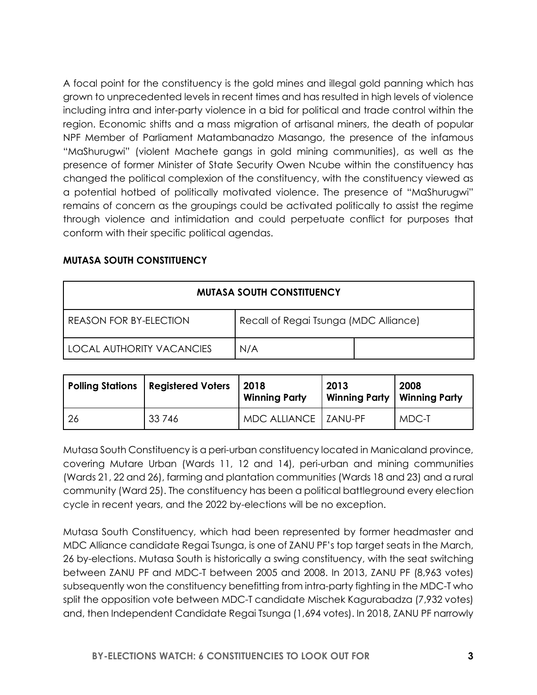A focal point for the constituency is the gold mines and illegal gold panning which has grown to unprecedented levels in recent times and has resulted in high levels of violence including intra and inter-party violence in a bid for political and trade control within the region. Economic shifts and a mass migration of artisanal miners, the death of popular NPF Member of Parliament Matambanadzo Masango, the presence of the infamous "MaShurugwi" (violent Machete gangs in gold mining communities), as well as the presence of former Minister of State Security Owen Ncube within the constituency has changed the political complexion of the constituency, with the constituency viewed as a potential hotbed of politically motivated violence. The presence of "MaShurugwi" remains of concern as the groupings could be activated politically to assist the regime through violence and intimidation and could perpetuate conflict for purposes that conform with their specific political agendas.

| <b>MUTASA SOUTH CONSTITUENCY</b> |                                       |  |  |
|----------------------------------|---------------------------------------|--|--|
| REASON FOR BY-ELECTION           | Recall of Regai Tsunga (MDC Alliance) |  |  |
| I LOCAL AUTHORITY VACANCIES      | N/A                                   |  |  |

#### **MUTASA SOUTH CONSTITUENCY**

|    | Polling Stations   Registered Voters | 2018<br><b>Winning Party</b> | 2013<br>  Winning Party   Winning Party | 2008  |
|----|--------------------------------------|------------------------------|-----------------------------------------|-------|
| 26 | 33 746                               | MDC ALLIANCE   ZANU-PF       |                                         | MDC-T |

Mutasa South Constituency is a peri-urban constituency located in Manicaland province, covering Mutare Urban (Wards 11, 12 and 14), peri-urban and mining communities (Wards 21, 22 and 26), farming and plantation communities (Wards 18 and 23) and a rural community (Ward 25). The constituency has been a political battleground every election cycle in recent years, and the 2022 by-elections will be no exception.

Mutasa South Constituency, which had been represented by former headmaster and MDC Alliance candidate Regai Tsunga, is one of ZANU PF's top target seats in the March, 26 by-elections. Mutasa South is historically a swing constituency, with the seat switching between ZANU PF and MDC-T between 2005 and 2008. In 2013, ZANU PF (8,963 votes) subsequently won the constituency benefitting from intra-party fighting in the MDC-T who split the opposition vote between MDC-T candidate Mischek Kagurabadza (7,932 votes) and, then Independent Candidate Regai Tsunga (1,694 votes). In 2018, ZANU PF narrowly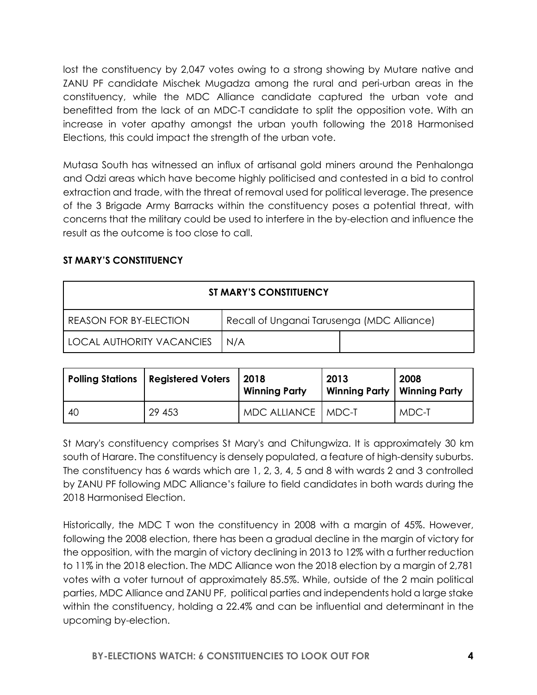lost the constituency by 2,047 votes owing to a strong showing by Mutare native and ZANU PF candidate Mischek Mugadza among the rural and peri-urban areas in the constituency, while the MDC Alliance candidate captured the urban vote and benefitted from the lack of an MDC-T candidate to split the opposition vote. With an increase in voter apathy amongst the urban youth following the 2018 Harmonised Elections, this could impact the strength of the urban vote.

Mutasa South has witnessed an influx of artisanal gold miners around the Penhalonga and Odzi areas which have become highly politicised and contested in a bid to control extraction and trade, with the threat of removal used for political leverage. The presence of the 3 Brigade Army Barracks within the constituency poses a potential threat, with concerns that the military could be used to interfere in the by-election and influence the result as the outcome is too close to call.

## **ST MARY'S CONSTITUENCY**

| ST MARY'S CONSTITUENCY                                                      |  |  |  |  |
|-----------------------------------------------------------------------------|--|--|--|--|
| Recall of Unganai Tarusenga (MDC Alliance)<br><b>REASON FOR BY-ELECTION</b> |  |  |  |  |
| <b>LOCAL AUTHORITY VACANCIES</b><br>N/A                                     |  |  |  |  |

|     | Polling Stations   Registered Voters | 2018<br><b>Winning Party</b> | 2013<br>  Winning Party   Winning Party | 2008  |
|-----|--------------------------------------|------------------------------|-----------------------------------------|-------|
| -40 | 29 453                               | MDC ALLIANCE   MDC-T         |                                         | MDC-T |

St Mary's constituency comprises St Mary's and Chitungwiza. It is approximately 30 km south of Harare. The constituency is densely populated, a feature of high-density suburbs. The constituency has 6 wards which are 1, 2, 3, 4, 5 and 8 with wards 2 and 3 controlled by ZANU PF following MDC Alliance's failure to field candidates in both wards during the 2018 Harmonised Election.

Historically, the MDC T won the constituency in 2008 with a margin of 45%. However, following the 2008 election, there has been a gradual decline in the margin of victory for the opposition, with the margin of victory declining in 2013 to 12% with a further reduction to 11% in the 2018 election. The MDC Alliance won the 2018 election by a margin of 2,781 votes with a voter turnout of approximately 85.5%. While, outside of the 2 main political parties, MDC Alliance and ZANU PF, political parties and independents hold a large stake within the constituency, holding a 22.4% and can be influential and determinant in the upcoming by-election.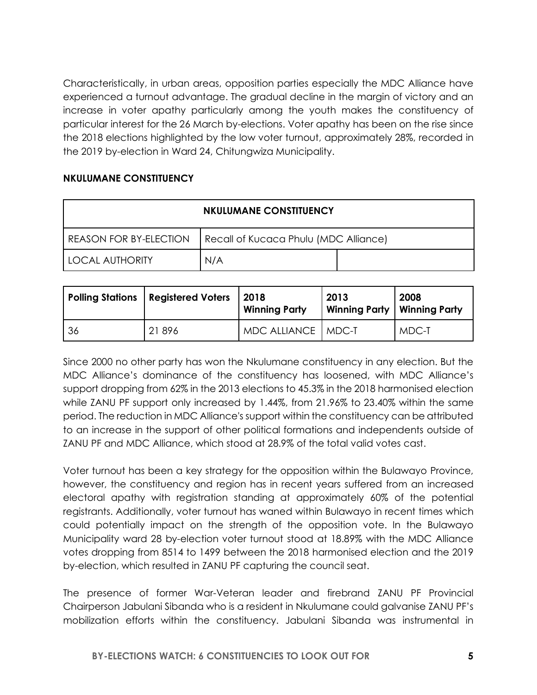Characteristically, in urban areas, opposition parties especially the MDC Alliance have experienced a turnout advantage. The gradual decline in the margin of victory and an increase in voter apathy particularly among the youth makes the constituency of particular interest for the 26 March by-elections. Voter apathy has been on the rise since the 2018 elections highlighted by the low voter turnout, approximately 28%, recorded in the 2019 by-election in Ward 24, Chitungwiza Municipality.

### **NKULUMANE CONSTITUENCY**

| <b>NKULUMANE CONSTITUENCY</b> |                                       |  |  |
|-------------------------------|---------------------------------------|--|--|
| <b>REASON FOR BY-ELECTION</b> | Recall of Kucaca Phulu (MDC Alliance) |  |  |
| <b>LOCAL AUTHORITY</b>        | N/A                                   |  |  |

|    | <b>Polling Stations   Registered Voters</b> | 2018<br><b>Winning Party</b> | 2013<br>Winning Party   Winning Party | 2008  |
|----|---------------------------------------------|------------------------------|---------------------------------------|-------|
| 36 | 21896                                       | MDC ALLIANCE   MDC-T         |                                       | MDC-T |

Since 2000 no other party has won the Nkulumane constituency in any election. But the MDC Alliance's dominance of the constituency has loosened, with MDC Alliance's support dropping from 62% in the 2013 elections to 45.3% in the 2018 harmonised election while ZANU PF support only increased by 1.44%, from 21.96% to 23.40% within the same period. The reduction in MDC Alliance's support within the constituency can be attributed to an increase in the support of other political formations and independents outside of ZANU PF and MDC Alliance, which stood at 28.9% of the total valid votes cast.

Voter turnout has been a key strategy for the opposition within the Bulawayo Province, however, the constituency and region has in recent years suffered from an increased electoral apathy with registration standing at approximately 60% of the potential registrants. Additionally, voter turnout has waned within Bulawayo in recent times which could potentially impact on the strength of the opposition vote. In the Bulawayo Municipality ward 28 by-election voter turnout stood at 18.89% with the MDC Alliance votes dropping from 8514 to 1499 between the 2018 harmonised election and the 2019 by-election, which resulted in ZANU PF capturing the council seat.

The presence of former War-Veteran leader and firebrand ZANU PF Provincial Chairperson Jabulani Sibanda who is a resident in Nkulumane could galvanise ZANU PF's mobilization efforts within the constituency. Jabulani Sibanda was instrumental in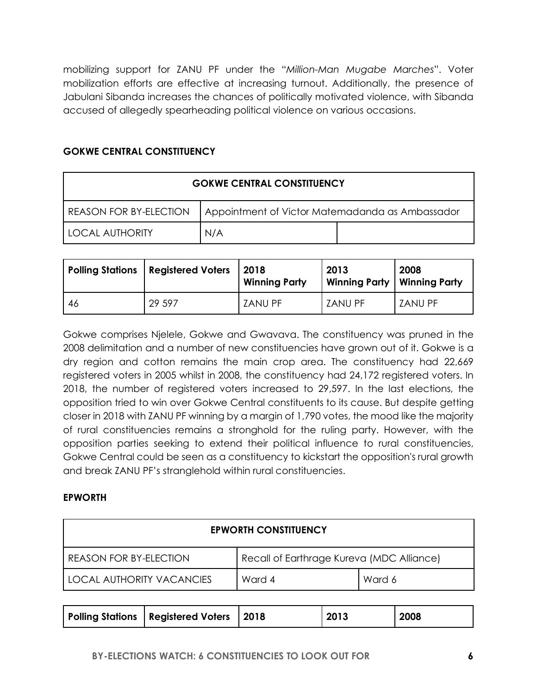mobilizing support for ZANU PF under the "*Million-Man Mugabe Marches*". Voter mobilization efforts are effective at increasing turnout. Additionally, the presence of Jabulani Sibanda increases the chances of politically motivated violence, with Sibanda accused of allegedly spearheading political violence on various occasions.

### **GOKWE CENTRAL CONSTITUENCY**

| <b>GOKWE CENTRAL CONSTITUENCY</b> |                                                 |  |  |
|-----------------------------------|-------------------------------------------------|--|--|
| <b>REASON FOR BY-ELECTION</b>     | Appointment of Victor Matemadanda as Ambassador |  |  |
| I LOCAL AUTHORITY                 | N/A                                             |  |  |

| Polling Stations | <b>Registered Voters</b> | 2018<br><b>Winning Party</b> | 2013<br>Winning Party   Winning Party | 2008    |
|------------------|--------------------------|------------------------------|---------------------------------------|---------|
| 46               | 29 5 9 7                 | <b>ZANU PF</b>               | <b>ZANU PF</b>                        | ZANU PF |

Gokwe comprises Njelele, Gokwe and Gwavava. The constituency was pruned in the 2008 delimitation and a number of new constituencies have grown out of it. Gokwe is a dry region and cotton remains the main crop area. The constituency had 22,669 registered voters in 2005 whilst in 2008, the constituency had 24,172 registered voters. In 2018, the number of registered voters increased to 29,597. In the last elections, the opposition tried to win over Gokwe Central constituents to its cause. But despite getting closer in 2018 with ZANU PF winning by a margin of 1,790 votes, the mood like the majority of rural constituencies remains a stronghold for the ruling party. However, with the opposition parties seeking to extend their political influence to rural constituencies, Gokwe Central could be seen as a constituency to kickstart the opposition's rural growth and break ZANU PF's stranglehold within rural constituencies.

#### **EPWORTH**

| <b>EPWORTH CONSTITUENCY</b>                                                |  |  |  |
|----------------------------------------------------------------------------|--|--|--|
| Recall of Earthrage Kureva (MDC Alliance)<br><b>REASON FOR BY-ELECTION</b> |  |  |  |
| LOCAL AUTHORITY VACANCIES<br>Ward 4<br>Ward 6                              |  |  |  |

| Polling Stations   Registered Voters   2018 |  | 2013 | 2008 |
|---------------------------------------------|--|------|------|
|---------------------------------------------|--|------|------|